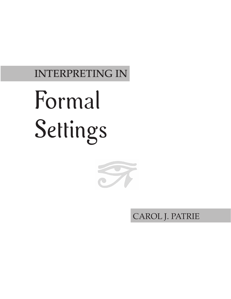# Interpreting in

# Formal Settings



CAROL J. PATRIE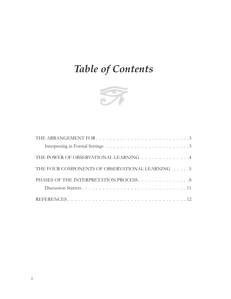# *Table of Contents*



| THE POWER OF OBSERVATIONAL LEARNING 4           |  |
|-------------------------------------------------|--|
| THE FOUR COMPONENTS OF OBSERVATIONAL LEARNING 5 |  |
| PHASES OF THE INTERPRETATION PROCESS. 8         |  |
|                                                 |  |
|                                                 |  |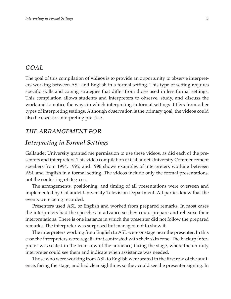#### *GOAL*

The goal of this compilation **of videos** is to provide an opportunity to observe interpreters working between ASL and English in a formal setting. This type of setting requires specific skills and coping strategies that differ from those used in less formal settings. This compilation allows students and interpreters to observe, study, and discuss the work and to notice the ways in which interpreting in formal settings differs from other types of interpreting settings. Although observation is the primary goal, the videos could also be used for interpreting practice.

#### *THE ARRANGEMENT FOR*

#### *Interpreting in Formal Settings*

Gallaudet University granted me permission to use these videos, as did each of the presenters and interpreters. This video compilation of Gallaudet University Commencement speakers from 1994, 1995, and 1996 shows examples of interpreters working between ASL and English in a formal setting. The videos include only the formal presentations, not the conferring of degrees.

The arrangements, positioning, and timing of all presentations were overseen and implemented by Gallaudet University Television Department. All parties knew that the events were being recorded.

Presenters used ASL or English and worked from prepared remarks. In most cases the interpreters had the speeches in advance so they could prepare and rehearse their interpretations. There is one instance in which the presenter did not follow the prepared remarks. The interpreter was surprised but managed not to show it.

The interpreters working from English to ASL were onstage near the presenter. In this case the interpreters wore regalia that contrasted with their skin tone. The backup interpreter was seated in the front row of the audience, facing the stage, where the on-duty interpreter could see them and indicate when assistance was needed.

Those who were working from ASL to English were seated in the first row of the audience, facing the stage, and had clear sightlines so they could see the presenter signing. In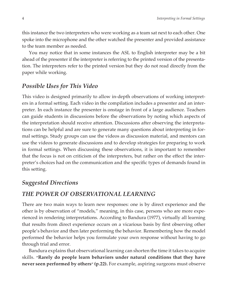this instance the two interpreters who were working as a team sat next to each other. One spoke into the microphone and the other watched the presenter and provided assistance to the team member as needed.

You may notice that in some instances the ASL to English interpreter may be a bit ahead of the presenter if the interpreter is referring to the printed version of the presentation. The interpreters refer to the printed version but they do not read directly from the paper while working.

# *Possible Uses for This Video*

This video is designed primarily to allow in-depth observations of working interpreters in a formal setting. Each video in the compilation includes a presenter and an interpreter. In each instance the presenter is onstage in front of a large audience. Teachers can guide students in discussions before the observations by noting which aspects of the interpretation should receive attention. Discussions after observing the interpretations can be helpful and are sure to generate many questions about interpreting in formal settings. Study groups can use the videos as discussion material, and mentors can use the videos to generate discussions and to develop strategies for preparing to work in formal settings. When discussing these observations, it is important to remember that the focus is not on criticism of the interpreters, but rather on the effect the interpreter's choices had on the communication and the specific types of demands found in this setting.

# *Suggested Directions*

# *THE POWER OF OBSERVATIONAL LEARNING*

There are two main ways to learn new responses: one is by direct experience and the other is by observation of "models," meaning, in this case, persons who are more experienced in rendering interpretations. According to Bandura (1977), virtually all learning that results from direct experience occurs on a vicarious basis by first observing other people's behavior and then later performing the behavior. Remembering how the model performed the behavior helps you formulate your own response without having to go through trial and error.

Bandura explains that observational learning can shorten the time it takes to acquire skills. **"Rarely do people learn behaviors under natural conditions that they have never seen performed by others" (p.22).** For example, aspiring surgeons must observe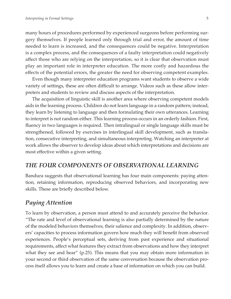many hours of procedures performed by experienced surgeons before performing surgery themselves. If people learned only through trial and error, the amount of time needed to learn is increased, and the consequences could be negative. Interpretation is a complex process, and the consequences of a faulty interpretation could negatively affect those who are relying on the interpretation, so it is clear that observation must play an important role in interpreter education. The more costly and hazardous the effects of the potential errors, the greater the need for observing competent examples.

Even though many interpreter education programs want students to observe a wide variety of settings, these are often difficult to arrange. Videos such as these allow interpreters and students to review and discuss aspects of the interpretation.

The acquisition of linguistic skill is another area where observing competent models aids in the learning process. Children do not learn language in a random pattern; instead, they learn by listening to language and then formulating their own utterances. Learning to interpret is not random either. This learning process occurs in an orderly fashion. First, fluency in two languages is required. Then intralingual or single language skills must be strengthened, followed by exercises in interlingual skill development, such as translation, consecutive interpreting, and simultaneous interpreting. Watching an interpreter at work allows the observer to develop ideas about which interpretations and decisions are most effective within a given setting.

#### *THE FOUR COMPONENTS OF OBSERVATIONAL LEARNING*

Bandura suggests that observational learning has four main components: paying attention, retaining information, reproducing observed behaviors, and incorporating new skills. These are briefly described below.

#### *Paying Attention*

To learn by observation, a person must attend to and accurately perceive the behavior. "The rate and level of observational learning is also partially determined by the nature of the modeled behaviors themselves, their salience and complexity. In addition, observers' capacities to process information govern how much they will benefit from observed experiences. People's perceptual sets, deriving from past experience and situational requirements, affect what features they extract from observations and how they interpret what they see and hear" (p.25). This means that you may obtain more information in your second or third observation of the same conversation because the observation process itself allows you to learn and create a base of information on which you can build.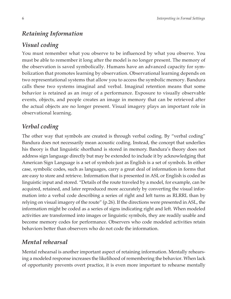## *Retaining Information*

# *Visual coding*

You must remember what you observe to be influenced by what you observe. You must be able to remember it long after the model is no longer present. The memory of the observation is saved symbolically. Humans have an advanced capacity for symbolization that promotes learning by observation. Observational learning depends on two representational systems that allow you to access the symbolic memory. Bandura calls these two systems imaginal and verbal. Imaginal retention means that some behavior is retained as an *image* of a performance. Exposure to visually observable events, objects, and people creates an image in memory that can be retrieved after the actual objects are no longer present. Visual imagery plays an important role in observational learning.

# *Verbal coding*

The other way that symbols are created is through verbal coding. By "verbal coding" Bandura does not necessarily mean acoustic coding. Instead, the concept that underlies his theory is that linguistic shorthand is stored in memory. Bandura's theory does not address sign language directly but may be extended to include it by acknowledging that American Sign Language is a set of symbols just as English is a set of symbols. In either case, symbolic codes, such as languages, carry a great deal of information in forms that are easy to store and retrieve. Information that is presented in ASL or English is coded as linguistic input and stored. "Details of the route traveled by a model, for example, can be acquired, retained, and later reproduced more accurately by converting the visual information into a verbal code describing a series of right and left turns as RLRRL than by relying on visual imagery of the route" (p.26). If the directions were presented in ASL, the information might be coded as a series of signs indicating right and left. When modeled activities are transformed into images or linguistic symbols, they are readily usable and become memory codes for performance. Observers who code modeled activities retain behaviors better than observers who do not code the information.

# *Mental rehearsal*

Mental rehearsal is another important aspect of retaining information. Mentally rehearsing a modeled response increases the likelihood of remembering the behavior. When lack of opportunity prevents overt practice, it is even more important to rehearse mentally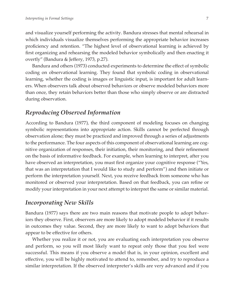and visualize yourself performing the activity. Bandura stresses that mental rehearsal in which individuals visualize themselves performing the appropriate behavior increases proficiency and retention. "The highest level of observational learning is achieved by first organizing and rehearsing the modeled behavior symbolically and then enacting it overtly" (Bandura & Jeffery, 1973, p.27).

Bandura and others (1973) conducted experiments to determine the effect of symbolic coding on observational learning. They found that symbolic coding in observational learning, whether the coding is images or linguistic input, is important for adult learners. When observers talk about observed behaviors or observe modeled behaviors more than once, they retain behaviors better than those who simply observe or are distracted during observation.

#### *Reproducing Observed Information*

According to Bandura (1977), the third component of modeling focuses on changing symbolic representations into appropriate action. Skills cannot be perfected through observation alone; they must be practiced and improved through a series of adjustments to the performance. The four aspects of this component of observational learning are cognitive organization of responses, their initiation, their monitoring, and their refinement on the basis of informative feedback. For example, when learning to interpret, after you have observed an interpretation, you must first organize your cognitive response ("Yes, that was an interpretation that I would like to study and perform") and then initiate or perform the interpretation yourself. Next, you receive feedback from someone who has monitored or observed your interpretation. Based on that feedback, you can refine or modify your interpretation in your next attempt to interpret the same or similar material.

#### *Incorporating New Skills*

Bandura (1977) says there are two main reasons that motivate people to adopt behaviors they observe. First, observers are more likely to adopt modeled behavior if it results in outcomes they value. Second, they are more likely to want to adopt behaviors that appear to be effective for others.

Whether you realize it or not, you are evaluating each interpretation you observe and perform, so you will most likely want to repeat only those that you feel were successful. This means if you observe a model that is, in your opinion, excellent and effective, you will be highly motivated to attend to, remember, and try to reproduce a similar interpretation. If the observed interpreter's skills are very advanced and if you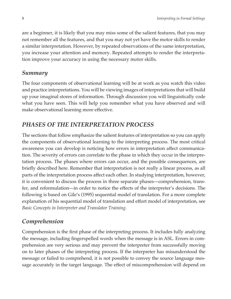are a beginner, it is likely that you may miss some of the salient features, that you may not remember all the features, and that you may not yet have the motor skills to render a similar interpretation. However, by repeated observations of the same interpretation, you increase your attention and memory. Repeated attempts to render the interpretation improve your accuracy in using the necessary motor skills.

## *Summary*

The four components of observational learning will be at work as you watch this video and practice interpretations. You will be viewing images of interpretations that will build up your imaginal stores of information. Through discussion you will linguistically code what you have seen. This will help you remember what you have observed and will make observational learning more effective.

# *PHASES OF THE INTERPRETATION PROCESS*

The sections that follow emphasize the salient features of interpretation so you can apply the components of observational learning to the interpreting process. The most critical awareness you can develop is noticing how errors in interpretation affect communication. The severity of errors can correlate to the phase in which they occur in the interpretation process. The phases where errors can occur, and the possible consequences, are briefly described here. Remember that interpretation is not really a linear process, as all parts of the interpretation process affect each other. In studying interpretation, however, it is convenient to discuss the process in three separate phases—comprehension, transfer, and reformulation—in order to notice the effects of the interpreter's decisions. The following is based on Gile's (1995) sequential model of translation. For a more complete explanation of his sequential model of translation and effort model of interpretation, see *Basic Concepts in Interpreter and Translator Training.*

# *Comprehension*

Comprehension is the first phase of the interpreting process. It includes fully analyzing the message, including fingerspelled words when the message is in ASL. Errors in comprehension are very serious and may prevent the interpreter from successfully moving on to later phases of the interpreting process. If the interpreter has misunderstood the message or failed to comprehend, it is not possible to convey the source language message accurately in the target language. The effect of miscomprehension will depend on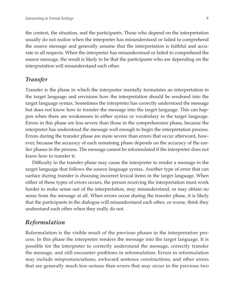the context, the situation, and the participants. Those who depend on the interpretation usually do not realize when the interpreter has misunderstood or failed to comprehend the source message and generally assume that the interpretation is faithful and accurate in all respects. When the interpreter has misunderstood or failed to comprehend the source message, the result is likely to be that the participants who are depending on the interpretation will misunderstand each other.

#### *Transfer*

Transfer is the phase in which the interpreter mentally formulates an interpretation in the target language and envisions how the interpretation should be rendered into the target language syntax. Sometimes the interpreter has correctly understood the message but does not know how to transfer the message into the target language. This can happen when there are weaknesses in either syntax or vocabulary in the target language. Errors in this phase are less severe than those in the comprehension phase, because the interpreter has understood the message well enough to begin the interpretation process. Errors during the transfer phase are more severe than errors that occur afterward, however, because the accuracy of each remaining phase depends on the accuracy of the earlier phases in the process. The message cannot be reformulated if the interpreter does not know how to transfer it.

Difficulty in the transfer phase may cause the interpreter to render a message in the target language that follows the source language syntax. Another type of error that can surface during transfer is choosing incorrect lexical items in the target language. When either of these types of errors occurs, the person receiving the interpretation must work harder to make sense out of the interpretation, may misunderstand, or may obtain no sense from the message at all. When errors occur during the transfer phase, it is likely that the participants in the dialogue will misunderstand each other, or worse, think they understand each other when they really do not.

#### *Reformulation*

Reformulation is the visible result of the previous phases in the interpretation process. In this phase the interpreter renders the message into the target language. It is possible for the interpreter to correctly understand the message, correctly transfer the message, and still encounter problems in reformulation. Errors in reformulation may include mispronunciations, awkward sentence constructions, and other errors that are generally much less serious than errors that may occur in the previous two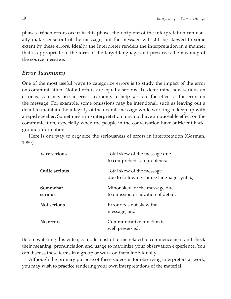phases. When errors occur in this phase, the recipient of the interpretation can usually make sense out of the message, but the message will still be skewed to some extent by these errors. Ideally, the Interpreter renders the interpretation in a manner that is appropriate to the form of the target language and preserves the meaning of the source message.

## *Error Taxonomy*

One of the most useful ways to categorize errors is to study the impact of the error on communication. Not all errors are equally serious. To deter mine how serious an error is, you may use an error taxonomy to help sort out the effect of the error on the message. For example, some omissions may be intentional, such as leaving out a detail to maintain the integrity of the overall message while working to keep up with a rapid speaker. Sometimes a misinterpretation may not have a noticeable effect on the communication, especially when the people in the conversation have sufficient background information.

Here is one way to organize the seriousness of errors in interpretation (Gorman, 1989):

| Very serious         | Total skew of the message due<br>to comprehension problems;           |
|----------------------|-----------------------------------------------------------------------|
| <b>Quite serious</b> | Total skew of the message<br>due to following source language syntax; |
| Somewhat<br>serious  | Minor skew of the message due<br>to omission or addition of detail;   |
| Not serious          | Error does not skew the<br>message; and                               |
| No errors            | Communicative function is<br>well preserved.                          |

Before watching this video, compile a list of terms related to commencement and check their meaning, pronunciation and usage to maximize your observation experience. You can discuss these terms in a group or work on them individually.

Although the primary purpose of these videos is for observing interpreters at work, you may wish to practice rendering your own interpretations of the material.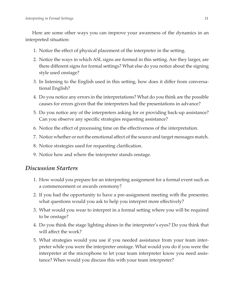Here are some other ways you can improve your awareness of the dynamics in an interpreted situation:

- 1. Notice the effect of physical placement of the interpreter in the setting.
- 2. Notice the ways in which ASL signs are formed in this setting. Are they larger, are there different signs for formal settings? What else do you notice about the signing style used onstage?
- 3. In listening to the English used in this setting, how does it differ from conversational English?
- 4. Do you notice any errors in the interpretations? What do you think are the possible causes for errors given that the interpreters had the presentations in advance?
- 5. Do you notice any of the interpreters asking for or providing back-up assistance? Can you observe any specific strategies requesting assistance?
- 6. Notice the effect of processing time on the effectiveness of the interpretation.
- 7. Notice whether or not the emotional affect of the source and target messages match.
- 8. Notice strategies used for requesting clarification.
- 9. Notice how and where the interpreter stands onstage.

#### *Discussion Starters*

- 1. How would you prepare for an interpreting assignment for a formal event such as a commencement or awards ceremony?
- 2. If you had the opportunity to have a pre-assignment meeting with the presenter, what questions would you ask to help you interpret more effectively?
- 3. What would you wear to interpret in a formal setting where you will be required to be onstage?
- 4. Do you think the stage lighting shines in the interpreter's eyes? Do you think that will affect the work?
- 5. What strategies would you use if you needed assistance from your team interpreter while you were the interpreter onstage. What would you do if you were the interpreter at the microphone to let your team interpreter know you need assistance? When would you discuss this with your team interpreter?